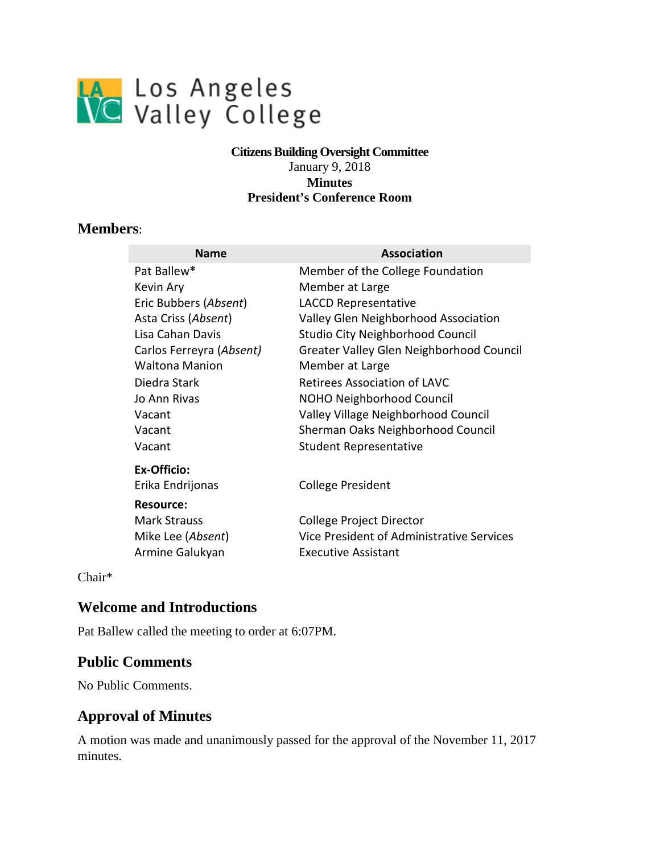

#### **Citizens Building Oversight Committee**  January 9, 2018 **Minutes President's Conference Room**

### **Members**:

| <b>Name</b>              | <b>Association</b>                        |
|--------------------------|-------------------------------------------|
| Pat Ballew*              | Member of the College Foundation          |
| Kevin Ary                | Member at Large                           |
| Eric Bubbers (Absent)    | <b>LACCD Representative</b>               |
| Asta Criss (Absent)      | Valley Glen Neighborhood Association      |
| Lisa Cahan Davis         | <b>Studio City Neighborhood Council</b>   |
| Carlos Ferreyra (Absent) | Greater Valley Glen Neighborhood Council  |
| <b>Waltona Manion</b>    | Member at Large                           |
| Diedra Stark             | <b>Retirees Association of LAVC</b>       |
| Jo Ann Rivas             | NOHO Neighborhood Council                 |
| Vacant                   | Valley Village Neighborhood Council       |
| Vacant                   | Sherman Oaks Neighborhood Council         |
| Vacant                   | <b>Student Representative</b>             |
| <b>Ex-Officio:</b>       |                                           |
| Erika Endrijonas         | College President                         |
| <b>Resource:</b>         |                                           |
| <b>Mark Strauss</b>      | College Project Director                  |
| Mike Lee (Absent)        | Vice President of Administrative Services |
| Armine Galukyan          | <b>Executive Assistant</b>                |

Chair\*

### **Welcome and Introductions**

Pat Ballew called the meeting to order at 6:07PM.

### **Public Comments**

No Public Comments.

### **Approval of Minutes**

A motion was made and unanimously passed for the approval of the November 11, 2017 minutes.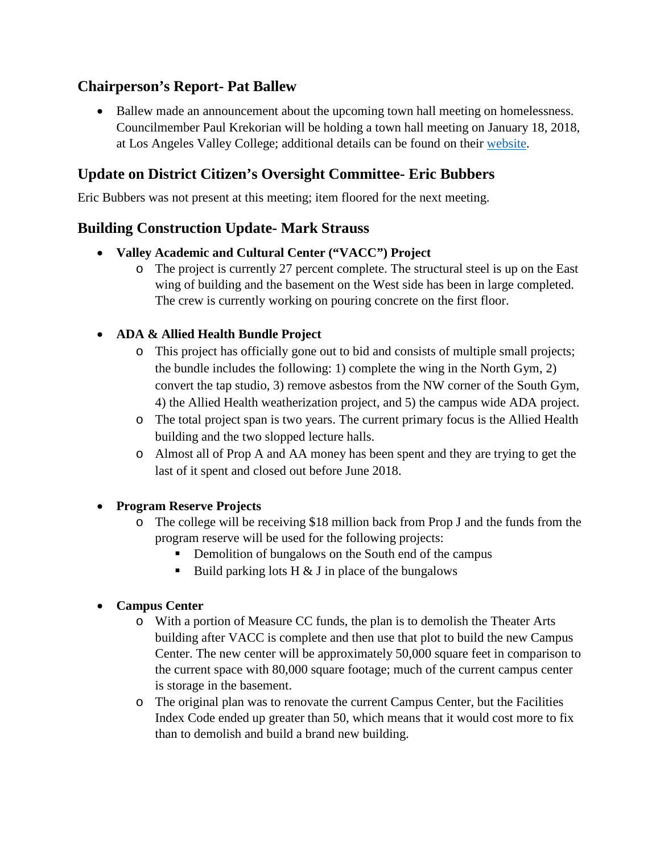# **Chairperson's Report- Pat Ballew**

at Los Angeles Valley College; additional details can be found on their [website.](http://www.paulkrekorian.org/cd2townhall) • Ballew made an announcement about the upcoming town hall meeting on homelessness. Councilmember Paul Krekorian will be holding a town hall meeting on January 18, 2018,

# **Update on District Citizen's Oversight Committee- Eric Bubbers**

Eric Bubbers was not present at this meeting; item floored for the next meeting.

### **Building Construction Update- Mark Strauss**

- **Valley Academic and Cultural Center ("VACC") Project** 
	- o The project is currently 27 percent complete. The structural steel is up on the East wing of building and the basement on the West side has been in large completed. The crew is currently working on pouring concrete on the first floor.

### • **ADA & Allied Health Bundle Project**

- o This project has officially gone out to bid and consists of multiple small projects; the bundle includes the following: 1) complete the wing in the North Gym, 2) convert the tap studio, 3) remove asbestos from the NW corner of the South Gym, 4) the Allied Health weatherization project, and 5) the campus wide ADA project.
- o The total project span is two years. The current primary focus is the Allied Health building and the two slopped lecture halls.
- o Almost all of Prop A and AA money has been spent and they are trying to get the last of it spent and closed out before June 2018.

### • **Program Reserve Projects**

- o The college will be receiving \$18 million back from Prop J and the funds from the program reserve will be used for the following projects:
	- Demolition of bungalows on the South end of the campus
	- Build parking lots  $H \& J$  in place of the bungalows

### • **Campus Center**

- the current space with 80,000 square footage; much of the current campus center o With a portion of Measure CC funds, the plan is to demolish the Theater Arts building after VACC is complete and then use that plot to build the new Campus Center. The new center will be approximately 50,000 square feet in comparison to is storage in the basement.
- o The original plan was to renovate the current Campus Center, but the Facilities Index Code ended up greater than 50, which means that it would cost more to fix than to demolish and build a brand new building.